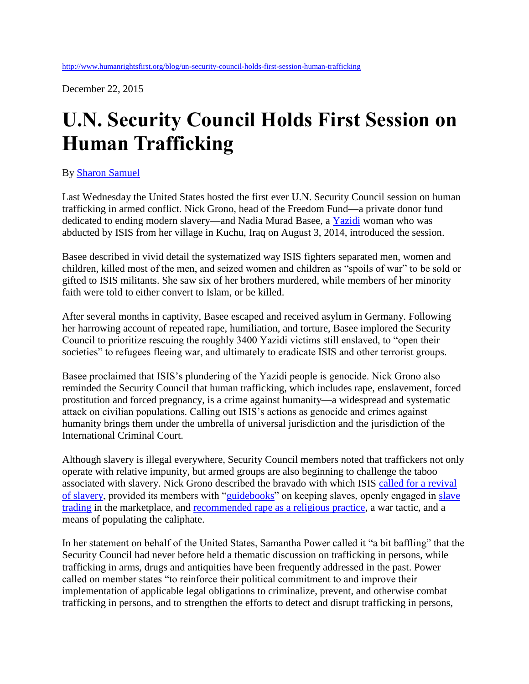December 22, 2015

## **U.N. Security Council Holds First Session on Human Trafficking**

## By [Sharon Samuel](http://www.humanrightsfirst.org/biography/sharon-samuel)

Last Wednesday the United States hosted the first ever U.N. Security Council session on human trafficking in armed conflict. Nick Grono, head of the Freedom Fund—a private donor fund dedicated to ending modern slavery—and Nadia Murad Basee, a [Yazidi](http://www.theguardian.com/world/2014/aug/07/who-yazidi-isis-iraq-religion-ethnicity-mountains) woman who was abducted by ISIS from her village in Kuchu, Iraq on August 3, 2014, introduced the session.

Basee described in vivid detail the systematized way ISIS fighters separated men, women and children, killed most of the men, and seized women and children as "spoils of war" to be sold or gifted to ISIS militants. She saw six of her brothers murdered, while members of her minority faith were told to either convert to Islam, or be killed.

After several months in captivity, Basee escaped and received asylum in Germany. Following her harrowing account of repeated rape, humiliation, and torture, Basee implored the Security Council to prioritize rescuing the roughly 3400 Yazidi victims still enslaved, to "open their societies" to refugees fleeing war, and ultimately to eradicate ISIS and other terrorist groups.

Basee proclaimed that ISIS's plundering of the Yazidi people is genocide. Nick Grono also reminded the Security Council that human trafficking, which includes rape, enslavement, forced prostitution and forced pregnancy, is a crime against humanity—a widespread and systematic attack on civilian populations. Calling out ISIS's actions as genocide and crimes against humanity brings them under the umbrella of universal jurisdiction and the jurisdiction of the International Criminal Court.

Although slavery is illegal everywhere, Security Council members noted that traffickers not only operate with relative impunity, but armed groups are also beginning to challenge the taboo associated with slavery. Nick Grono described the bravado with which ISIS [called for a revival](http://www.theatlantic.com/international/archive/2014/10/isis-confirms-and-justifies-enslaving-yazidis-in-new-magazine-article/381394/)  [of slavery,](http://www.theatlantic.com/international/archive/2014/10/isis-confirms-and-justifies-enslaving-yazidis-in-new-magazine-article/381394/) provided its members with ["guidebooks"](https://www.hrw.org/news/2015/09/05/slavery-isis-rules) on keeping slaves, openly engaged in [slave](http://www.nbcnews.com/storyline/isis-terror/isis-terror-yazidi-woman-recalls-horrors-slave-auction-n305856)  [trading](http://www.nbcnews.com/storyline/isis-terror/isis-terror-yazidi-woman-recalls-horrors-slave-auction-n305856) in the marketplace, and [recommended rape as a religious practice,](http://www.nytimes.com/2015/08/14/world/middleeast/isis-enshrines-a-theology-of-rape.html?_r=0) a war tactic, and a means of populating the caliphate.

In her statement on behalf of the United States, Samantha Power called it "a bit baffling" that the Security Council had never before held a thematic discussion on trafficking in persons, while trafficking in arms, drugs and antiquities have been frequently addressed in the past. Power called on member states "to reinforce their political commitment to and improve their implementation of applicable legal obligations to criminalize, prevent, and otherwise combat trafficking in persons, and to strengthen the efforts to detect and disrupt trafficking in persons,